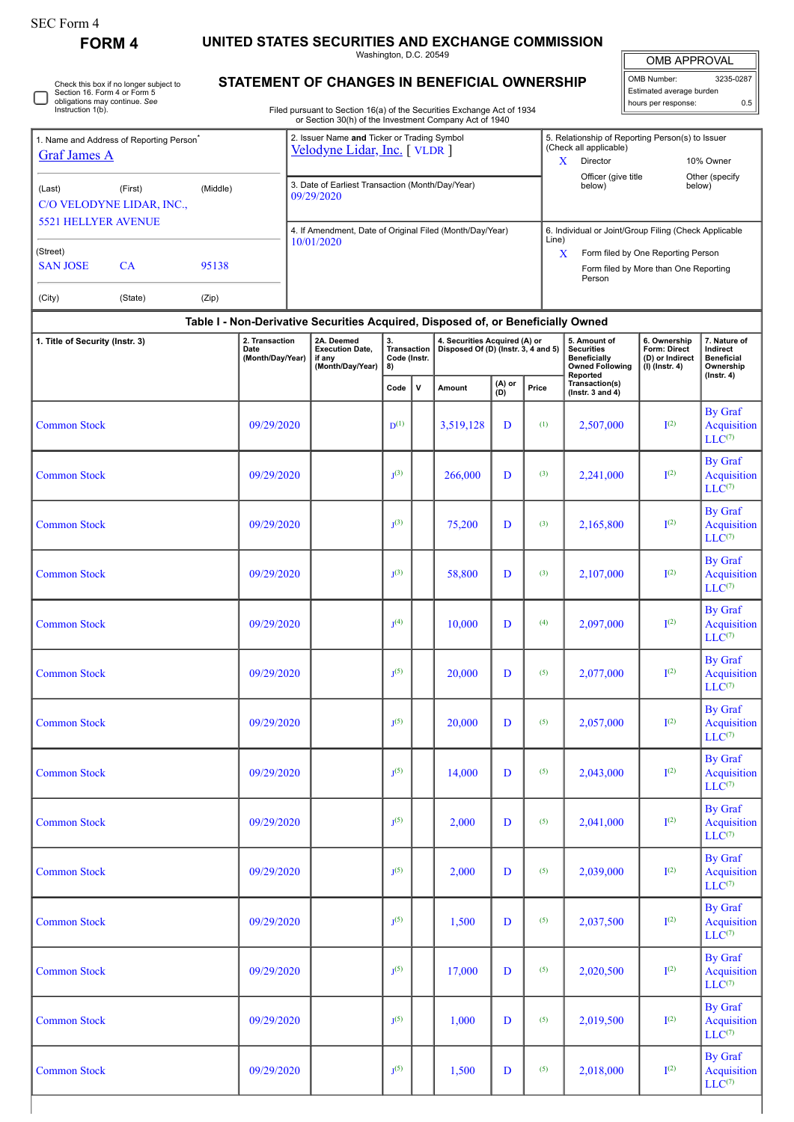| <b>FORM 4</b>                                                                                                                                                                                                                                                                            |          | UNITED STATES SECURITIES AND EXCHANGE COMMISSION<br>Washington, D.C. 20549<br>OMB APPROVAL                                       |  |                                                                                  |                                                |              |                                                                      |                                                                                                                                                    |                                                                                                          |                                                                                    |                               |                                                                     |                                                            |  |  |
|------------------------------------------------------------------------------------------------------------------------------------------------------------------------------------------------------------------------------------------------------------------------------------------|----------|----------------------------------------------------------------------------------------------------------------------------------|--|----------------------------------------------------------------------------------|------------------------------------------------|--------------|----------------------------------------------------------------------|----------------------------------------------------------------------------------------------------------------------------------------------------|----------------------------------------------------------------------------------------------------------|------------------------------------------------------------------------------------|-------------------------------|---------------------------------------------------------------------|------------------------------------------------------------|--|--|
| Check this box if no longer subject to<br>Section 16. Form 4 or Form 5<br>obligations may continue. See<br>Instruction 1(b).<br><b>Graf James A</b><br>(Last)<br>(First)<br>C/O VELODYNE LIDAR, INC.,<br><b>5521 HELLYER AVENUE</b><br><b>SAN JOSE</b><br><b>CA</b><br>(City)<br>(State) |          |                                                                                                                                  |  | STATEMENT OF CHANGES IN BENEFICIAL OWNERSHIP                                     |                                                |              | OMB Number:<br>3235-0287                                             |                                                                                                                                                    |                                                                                                          |                                                                                    |                               |                                                                     |                                                            |  |  |
|                                                                                                                                                                                                                                                                                          |          |                                                                                                                                  |  |                                                                                  |                                                |              |                                                                      |                                                                                                                                                    |                                                                                                          |                                                                                    |                               | Estimated average burden<br>hours per response:                     | 0.5                                                        |  |  |
|                                                                                                                                                                                                                                                                                          |          | Filed pursuant to Section 16(a) of the Securities Exchange Act of 1934<br>or Section 30(h) of the Investment Company Act of 1940 |  |                                                                                  |                                                |              |                                                                      |                                                                                                                                                    |                                                                                                          |                                                                                    |                               |                                                                     |                                                            |  |  |
| 1. Name and Address of Reporting Person <sup>®</sup>                                                                                                                                                                                                                                     |          |                                                                                                                                  |  | 2. Issuer Name and Ticker or Trading Symbol<br>Velodyne Lidar, Inc. [VLDR]       |                                                |              |                                                                      |                                                                                                                                                    | 5. Relationship of Reporting Person(s) to Issuer<br>(Check all applicable)<br>X<br>Director<br>10% Owner |                                                                                    |                               |                                                                     |                                                            |  |  |
|                                                                                                                                                                                                                                                                                          | (Middle) |                                                                                                                                  |  | 3. Date of Earliest Transaction (Month/Day/Year)<br>09/29/2020                   |                                                |              |                                                                      |                                                                                                                                                    |                                                                                                          |                                                                                    | Officer (give title<br>below) |                                                                     | Other (specify<br>below)                                   |  |  |
|                                                                                                                                                                                                                                                                                          |          |                                                                                                                                  |  | 4. If Amendment, Date of Original Filed (Month/Day/Year)                         |                                                |              |                                                                      |                                                                                                                                                    |                                                                                                          |                                                                                    |                               |                                                                     |                                                            |  |  |
| (Street)                                                                                                                                                                                                                                                                                 | 95138    |                                                                                                                                  |  | 10/01/2020                                                                       |                                                |              |                                                                      | 6. Individual or Joint/Group Filing (Check Applicable<br>Line)<br>X<br>Form filed by One Reporting Person<br>Form filed by More than One Reporting |                                                                                                          |                                                                                    |                               |                                                                     |                                                            |  |  |
|                                                                                                                                                                                                                                                                                          | (Zip)    |                                                                                                                                  |  |                                                                                  |                                                | Person       |                                                                      |                                                                                                                                                    |                                                                                                          |                                                                                    |                               |                                                                     |                                                            |  |  |
|                                                                                                                                                                                                                                                                                          |          |                                                                                                                                  |  | Table I - Non-Derivative Securities Acquired, Disposed of, or Beneficially Owned |                                                |              |                                                                      |                                                                                                                                                    |                                                                                                          |                                                                                    |                               |                                                                     |                                                            |  |  |
| 1. Title of Security (Instr. 3)                                                                                                                                                                                                                                                          |          | 2. Transaction<br>Date<br>(Month/Day/Year)                                                                                       |  | 2A. Deemed<br><b>Execution Date,</b><br>if any<br>(Month/Day/Year)               | 3.<br><b>Transaction</b><br>Code (Instr.<br>8) |              | 4. Securities Acquired (A) or<br>Disposed Of (D) (Instr. 3, 4 and 5) |                                                                                                                                                    |                                                                                                          | 5. Amount of<br><b>Securities</b><br><b>Beneficially</b><br><b>Owned Following</b> |                               | 6. Ownership<br>Form: Direct<br>(D) or Indirect<br>$(I)$ (Instr. 4) | 7. Nature of<br>Indirect<br><b>Beneficial</b><br>Ownership |  |  |
|                                                                                                                                                                                                                                                                                          |          |                                                                                                                                  |  |                                                                                  | Code                                           | $\mathsf{v}$ | Amount                                                               | (A) or<br>(D)                                                                                                                                      | Price                                                                                                    | Reported<br>Transaction(s)<br>(Instr. $3$ and $4$ )                                |                               |                                                                     | $($ Instr. 4 $)$                                           |  |  |
| <b>Common Stock</b>                                                                                                                                                                                                                                                                      |          | 09/29/2020                                                                                                                       |  |                                                                                  | $D^{(1)}$                                      |              | 3,519,128                                                            | D                                                                                                                                                  | (1)                                                                                                      |                                                                                    | 2,507,000                     | I <sup>(2)</sup>                                                    | By Graf<br>Acquisition<br>$LLC^{(7)}$                      |  |  |
| <b>Common Stock</b>                                                                                                                                                                                                                                                                      |          | 09/29/2020                                                                                                                       |  |                                                                                  | I <sup>(3)</sup>                               |              | 266,000                                                              | D                                                                                                                                                  | (3)                                                                                                      |                                                                                    | 2,241,000                     | I <sup>(2)</sup>                                                    | By Graf<br>Acquisition<br>$LLC^{(7)}$                      |  |  |
| <b>Common Stock</b>                                                                                                                                                                                                                                                                      |          | 09/29/2020                                                                                                                       |  |                                                                                  | I <sup>(3)</sup>                               |              | 75,200                                                               | D                                                                                                                                                  | (3)                                                                                                      |                                                                                    | 2,165,800                     | I <sup>(2)</sup>                                                    | By Graf<br>Acquisition<br>$LLC^{(7)}$                      |  |  |
| <b>Common Stock</b>                                                                                                                                                                                                                                                                      |          | 09/29/2020                                                                                                                       |  |                                                                                  | J <sup>(3)</sup>                               |              | 58,800                                                               | D                                                                                                                                                  | (3)                                                                                                      |                                                                                    | 2,107,000                     | I <sup>(2)</sup>                                                    | By Graf<br>Acquisition<br>$LLC^{(7)}$                      |  |  |
| <b>Common Stock</b>                                                                                                                                                                                                                                                                      |          | 09/29/2020                                                                                                                       |  |                                                                                  | I <sub>1</sub> (4)                             |              | 10.000                                                               | D                                                                                                                                                  | (4)                                                                                                      |                                                                                    | 2.097.000                     | I <sup>(2)</sup>                                                    | By Graf<br>Acquisition<br>$LLC^{(7)}$                      |  |  |
| <b>Common Stock</b>                                                                                                                                                                                                                                                                      |          | 09/29/2020                                                                                                                       |  |                                                                                  | $J^{(5)}$                                      |              | 20.000                                                               | D                                                                                                                                                  | (5)                                                                                                      |                                                                                    | 2,077,000                     | I <sup>(2)</sup>                                                    | <b>By Graf</b><br>Acquisition<br>$LLC^{(7)}$               |  |  |
| <b>Common Stock</b>                                                                                                                                                                                                                                                                      |          | 09/29/2020                                                                                                                       |  |                                                                                  | $J^{(5)}$                                      |              | 20,000                                                               | D                                                                                                                                                  | (5)                                                                                                      |                                                                                    | 2,057,000                     | I <sup>(2)</sup>                                                    | <b>By Graf</b><br>Acquisition<br>$LLC^{(7)}$               |  |  |
| <b>Common Stock</b>                                                                                                                                                                                                                                                                      |          | 09/29/2020                                                                                                                       |  |                                                                                  | I <sup>(5)</sup>                               |              | 14,000                                                               | D                                                                                                                                                  | (5)                                                                                                      |                                                                                    | 2,043,000                     | I <sup>(2)</sup>                                                    | <b>By Graf</b><br><b>Acquisition</b><br>$LLC^{(7)}$        |  |  |
| <b>Common Stock</b>                                                                                                                                                                                                                                                                      |          | 09/29/2020                                                                                                                       |  |                                                                                  | $I^{(5)}$                                      |              | 2,000                                                                | D                                                                                                                                                  | (5)                                                                                                      |                                                                                    | 2,041,000                     | I <sup>(2)</sup>                                                    | <b>By Graf</b><br>Acquisition<br>$LLC^{(7)}$               |  |  |
| <b>Common Stock</b>                                                                                                                                                                                                                                                                      |          | 09/29/2020                                                                                                                       |  |                                                                                  | $J^{(5)}$                                      |              | 2,000                                                                | D                                                                                                                                                  | (5)                                                                                                      |                                                                                    | 2,039,000                     | I <sup>(2)</sup>                                                    | By Graf<br>Acquisition<br>$LLC^{(7)}$                      |  |  |
| <b>Common Stock</b>                                                                                                                                                                                                                                                                      |          | 09/29/2020                                                                                                                       |  |                                                                                  | $J^{(5)}$                                      |              | 1,500                                                                | D                                                                                                                                                  | (5)                                                                                                      |                                                                                    | 2,037,500                     | I <sup>(2)</sup>                                                    | <b>By Graf</b><br>Acquisition<br>$LLC^{(7)}$               |  |  |
| <b>Common Stock</b>                                                                                                                                                                                                                                                                      |          | 09/29/2020                                                                                                                       |  |                                                                                  | $J^{(5)}$                                      |              | 17,000                                                               | D                                                                                                                                                  | (5)                                                                                                      |                                                                                    | 2,020,500                     | I <sup>(2)</sup>                                                    | <b>By Graf</b><br><b>Acquisition</b><br>$LLC^{(7)}$        |  |  |
| <b>Common Stock</b>                                                                                                                                                                                                                                                                      |          | 09/29/2020                                                                                                                       |  |                                                                                  | $J^{(5)}$                                      |              | 1,000                                                                | D                                                                                                                                                  | (5)                                                                                                      |                                                                                    | 2,019,500                     | I <sup>(2)</sup>                                                    | <b>By Graf</b><br>Acquisition<br>$LLC^{(7)}$               |  |  |
| <b>Common Stock</b>                                                                                                                                                                                                                                                                      |          | 09/29/2020                                                                                                                       |  |                                                                                  | I <sub>1</sub> (5)                             |              | 1,500                                                                | D                                                                                                                                                  | (5)                                                                                                      |                                                                                    | 2,018,000                     | I <sup>(2)</sup>                                                    | <b>By Graf</b><br>Acquisition                              |  |  |

 $LLC^{(7)}$ 

SEC Form 4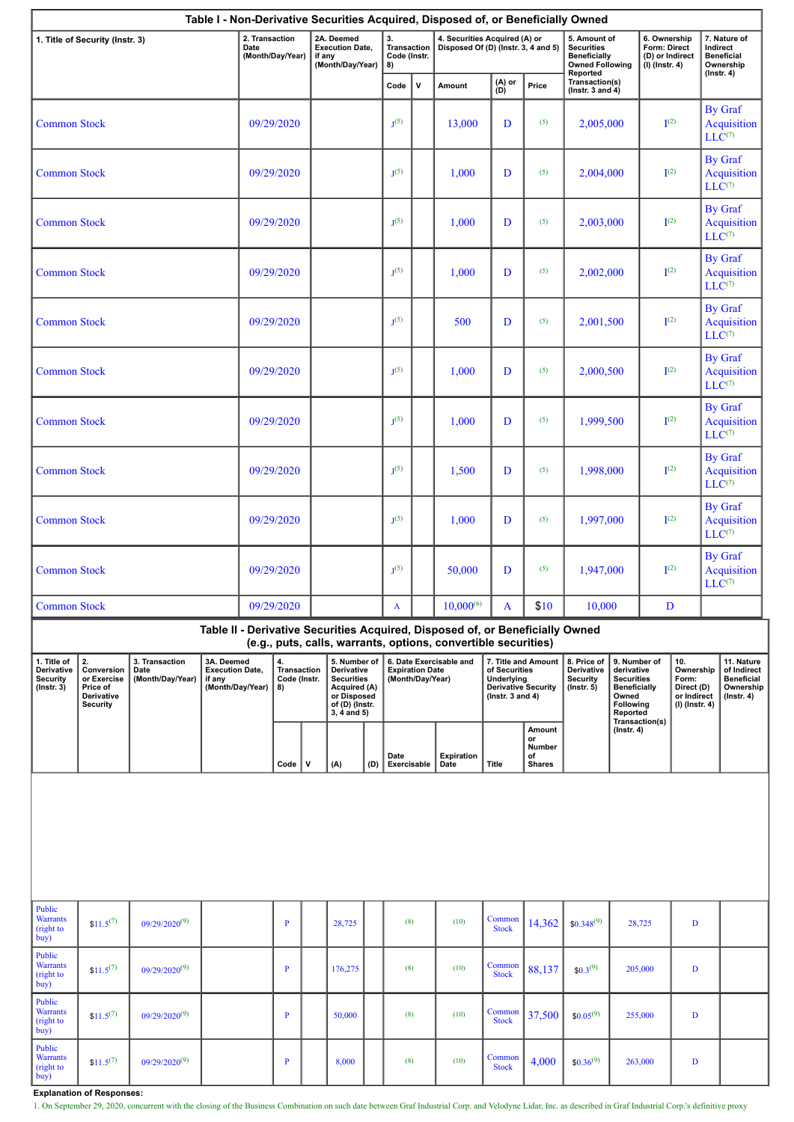| Table I - Non-Derivative Securities Acquired, Disposed of, or Beneficially Owned<br>6. Ownership                                                                                                         |                     |                                      |                                                                    |            |                |                                                                                                                     |           |                                                                       |                     |                                                                      |                                                                                                                                                 |                        |                                                                                                                                                              |                                                               |                                                                                            |                                                     |                                                                                |                                                                                 |             |
|----------------------------------------------------------------------------------------------------------------------------------------------------------------------------------------------------------|---------------------|--------------------------------------|--------------------------------------------------------------------|------------|----------------|---------------------------------------------------------------------------------------------------------------------|-----------|-----------------------------------------------------------------------|---------------------|----------------------------------------------------------------------|-------------------------------------------------------------------------------------------------------------------------------------------------|------------------------|--------------------------------------------------------------------------------------------------------------------------------------------------------------|---------------------------------------------------------------|--------------------------------------------------------------------------------------------|-----------------------------------------------------|--------------------------------------------------------------------------------|---------------------------------------------------------------------------------|-------------|
| 1. Title of Security (Instr. 3)                                                                                                                                                                          |                     |                                      | 2. Transaction<br>Date<br>(Month/Day/Year)                         |            |                | 2A. Deemed<br><b>Execution Date,</b><br>if any<br>(Month/Day/Year)                                                  |           | 3.<br><b>Transaction</b><br>Code (Instr.<br>8)                        |                     | 4. Securities Acquired (A) or<br>Disposed Of (D) (Instr. 3, 4 and 5) |                                                                                                                                                 |                        | <b>Securities</b><br>Reported                                                                                                                                | 5. Amount of<br><b>Beneficially</b><br><b>Owned Following</b> |                                                                                            | Form: Direct<br>(D) or Indirect<br>$(I)$ (Instr. 4) | 7. Nature of<br>Indirect<br><b>Beneficial</b><br>Ownership<br>$($ Instr. 4 $)$ |                                                                                 |             |
|                                                                                                                                                                                                          |                     |                                      |                                                                    |            |                |                                                                                                                     |           |                                                                       | Code                | $\mathbf v$                                                          | Amount                                                                                                                                          | (A) or<br>(D)          | Price                                                                                                                                                        | Transaction(s)<br>(Instr. $3$ and $4$ )                       |                                                                                            |                                                     |                                                                                |                                                                                 |             |
| <b>Common Stock</b>                                                                                                                                                                                      |                     |                                      | 09/29/2020                                                         |            |                |                                                                                                                     |           | $J^{(5)}$                                                             |                     | 13,000                                                               | D                                                                                                                                               | (5)                    | 2,005,000                                                                                                                                                    |                                                               | $\mathbf{I}^{(2)}$                                                                         |                                                     | By Graf<br>Acquisition<br>$LLC^{(7)}$                                          |                                                                                 |             |
| <b>Common Stock</b>                                                                                                                                                                                      |                     |                                      | 09/29/2020                                                         |            |                |                                                                                                                     |           | $J^{(5)}$                                                             |                     | 1,000                                                                | D                                                                                                                                               | (5)                    | 2,004,000                                                                                                                                                    |                                                               |                                                                                            | By Graf<br>$\mathbf{I}^{(2)}$<br>$LLC^{(7)}$        |                                                                                | Acquisition                                                                     |             |
| <b>Common Stock</b>                                                                                                                                                                                      |                     |                                      |                                                                    | 09/29/2020 |                |                                                                                                                     | $J^{(5)}$ |                                                                       | 1,000               | D                                                                    | (5)                                                                                                                                             | 2,003,000              |                                                                                                                                                              | $\mathbf{I}^{(2)}$                                            |                                                                                            | By Graf<br>Acquisition<br>$LLC^{(7)}$               |                                                                                |                                                                                 |             |
| <b>Common Stock</b>                                                                                                                                                                                      |                     |                                      |                                                                    | 09/29/2020 |                |                                                                                                                     |           | $J^{(5)}$                                                             |                     | 1,000                                                                | D                                                                                                                                               | (5)                    | 2,002,000                                                                                                                                                    |                                                               | $\mathbf{I}^{(2)}$                                                                         |                                                     | By Graf<br>Acquisition<br>$LLC^{(7)}$                                          |                                                                                 |             |
| <b>Common Stock</b>                                                                                                                                                                                      |                     |                                      |                                                                    | 09/29/2020 |                |                                                                                                                     |           | $J^{(5)}$                                                             |                     | 500                                                                  | D                                                                                                                                               | (5)                    | 2,001,500                                                                                                                                                    |                                                               | I <sup>(2)</sup>                                                                           |                                                     | By Graf<br><b>Acquisition</b><br>$LLC^{(7)}$                                   |                                                                                 |             |
| <b>Common Stock</b>                                                                                                                                                                                      |                     |                                      | 09/29/2020                                                         |            |                |                                                                                                                     | $J^{(5)}$ |                                                                       | 1,000               | (5)<br>D                                                             |                                                                                                                                                 | 2,000,500              |                                                                                                                                                              |                                                               | By Graf<br>I <sup>(2)</sup><br>$LLC^{(7)}$                                                 |                                                     | Acquisition                                                                    |                                                                                 |             |
| <b>Common Stock</b>                                                                                                                                                                                      |                     |                                      |                                                                    | 09/29/2020 |                |                                                                                                                     |           |                                                                       | $J^{(5)}$           |                                                                      | 1,000                                                                                                                                           | D                      | (5)                                                                                                                                                          | 1,999,500                                                     |                                                                                            | $\mathbf{I}^{(2)}$                                  |                                                                                | By Graf<br>Acquisition<br>$LLC^{(7)}$                                           |             |
| <b>Common Stock</b>                                                                                                                                                                                      |                     |                                      |                                                                    | 09/29/2020 |                |                                                                                                                     |           |                                                                       | $J^{(5)}$           |                                                                      | 1,500                                                                                                                                           | D                      | (5)                                                                                                                                                          | 1,998,000                                                     |                                                                                            | $\mathbf{I}^{(2)}$                                  | By Graf<br>$LLC^{(7)}$                                                         |                                                                                 | Acquisition |
| <b>Common Stock</b>                                                                                                                                                                                      |                     | 09/29/2020                           |                                                                    |            |                |                                                                                                                     | $J^{(5)}$ |                                                                       | 1,000               | D                                                                    | (5)                                                                                                                                             | 1,997,000              |                                                                                                                                                              |                                                               | By Graf<br>I <sup>(2)</sup><br>$LLC^{(7)}$                                                 |                                                     | Acquisition                                                                    |                                                                                 |             |
|                                                                                                                                                                                                          | <b>Common Stock</b> |                                      | 09/29/2020                                                         |            |                |                                                                                                                     |           | $J^{(5)}$                                                             |                     | 50,000                                                               | D                                                                                                                                               | (5)                    | 1,947,000                                                                                                                                                    |                                                               | $\mathbf{I}^{(2)}$                                                                         | By Graf<br>$LLC^{(7)}$                              |                                                                                | Acquisition                                                                     |             |
| <b>Common Stock</b>                                                                                                                                                                                      |                     |                                      | 09/29/2020                                                         |            |                |                                                                                                                     |           | A                                                                     |                     | $10,000^{(6)}$<br>$\mathbf{A}$                                       |                                                                                                                                                 | \$10                   | 10,000                                                                                                                                                       |                                                               | D                                                                                          |                                                     |                                                                                |                                                                                 |             |
|                                                                                                                                                                                                          |                     |                                      |                                                                    |            |                |                                                                                                                     |           |                                                                       |                     |                                                                      | Table II - Derivative Securities Acquired, Disposed of, or Beneficially Owned<br>(e.g., puts, calls, warrants, options, convertible securities) |                        |                                                                                                                                                              |                                                               |                                                                                            |                                                     |                                                                                |                                                                                 |             |
| 2.<br>3. Transaction<br>1. Title of<br>Derivative<br>Conversion<br>Date<br><b>Security</b><br>(Month/Day/Year)<br>or Exercise<br>if any<br>$($ Instr. 3 $)$<br>Price of<br>Derivative<br><b>Security</b> |                     | 3A. Deemed<br><b>Execution Date,</b> | 4.<br><b>Transaction</b><br>Code (Instr.<br>(Month/Day/Year)<br>8) |            |                | 5. Number of<br>Derivative<br><b>Securities</b><br>Acquired (A)<br>or Disposed<br>of (D) (Instr.<br>$3, 4$ and $5)$ |           | 6. Date Exercisable and<br><b>Expiration Date</b><br>(Month/Day/Year) |                     |                                                                      | 7. Title and Amount<br>of Securities<br>Underlying<br><b>Derivative Security</b><br>( $lnstr. 3 and 4$ )                                        |                        | 8. Price of<br>Derivative<br>derivative<br><b>Security</b><br><b>Securities</b><br><b>Beneficially</b><br>$($ Instr. 5 $)$<br>Owned<br>Following<br>Reported |                                                               | 10.<br>9. Number of<br>Ownership<br>Form:<br>Direct (D)<br>or Indirect<br>$(I)$ (Instr. 4) |                                                     |                                                                                | 11. Nature<br>of Indirect<br><b>Beneficial</b><br>Ownership<br>$($ Instr. 4 $)$ |             |
|                                                                                                                                                                                                          |                     |                                      |                                                                    |            |                |                                                                                                                     |           |                                                                       |                     |                                                                      |                                                                                                                                                 |                        | Amount<br>or                                                                                                                                                 |                                                               | $($ Instr. 4 $)$                                                                           | Transaction(s)                                      |                                                                                |                                                                                 |             |
|                                                                                                                                                                                                          |                     |                                      |                                                                    |            | Code           | V                                                                                                                   | (A)       | (D)                                                                   | Date<br>Exercisable |                                                                      | Expiration<br>Date                                                                                                                              | <b>Title</b>           | Number<br>of<br><b>Shares</b>                                                                                                                                |                                                               |                                                                                            |                                                     |                                                                                |                                                                                 |             |
|                                                                                                                                                                                                          |                     |                                      |                                                                    |            |                |                                                                                                                     |           |                                                                       |                     |                                                                      |                                                                                                                                                 |                        |                                                                                                                                                              |                                                               |                                                                                            |                                                     |                                                                                |                                                                                 |             |
| Public<br><b>Warrants</b><br>(right to<br>buy)                                                                                                                                                           | $$11.5^{(7)}$       | $09/29/2020^{(9)}$                   |                                                                    |            | $\overline{P}$ |                                                                                                                     | 28,725    |                                                                       | (8)                 |                                                                      | (10)                                                                                                                                            | Common<br><b>Stock</b> | 14,362                                                                                                                                                       | $$0.348^{(9)}$$                                               |                                                                                            | 28,725                                              | $\mathbf{D}$                                                                   |                                                                                 |             |
| Public<br><b>Warrants</b><br>(right to<br>buy)                                                                                                                                                           | $$11.5^{(7)}$       | $09/29/2020^{(9)}$                   |                                                                    |            | $\mathbf{P}$   |                                                                                                                     | 176,275   |                                                                       | (8)                 |                                                                      | (10)                                                                                                                                            | Common<br><b>Stock</b> | 88,137                                                                                                                                                       | $$0.3^{(9)}$                                                  |                                                                                            | 205,000                                             | D                                                                              |                                                                                 |             |
| Public<br><b>Warrants</b><br>(right to<br>buy)                                                                                                                                                           | $$11.5^{(7)}$       | $09/29/2020^{(9)}$                   |                                                                    |            | P              |                                                                                                                     | 50,000    |                                                                       | (8)                 |                                                                      | (10)                                                                                                                                            | Common<br><b>Stock</b> | 37,500                                                                                                                                                       | $$0.05^{(9)}$                                                 |                                                                                            | 255,000                                             | $\mathbf D$                                                                    |                                                                                 |             |
| Public<br><b>Warrants</b><br>(right to<br>buy)                                                                                                                                                           | $$11.5^{(7)}$       | $09/29/2020^{(9)}$                   |                                                                    |            | $\mathbf{P}$   |                                                                                                                     | 8,000     |                                                                       | (8)                 |                                                                      | (10)                                                                                                                                            | Common<br><b>Stock</b> | 4,000                                                                                                                                                        | $$0.36^{(9)}$                                                 |                                                                                            | 263,000                                             | $\mathbf D$                                                                    |                                                                                 |             |

**Explanation of Responses:**

1. On September 29, 2020, concurrent with the closing of the Business Combination on such date between Graf Industrial Corp. and Velodyne Lidar, Inc. as described in Graf Industrial Corp.'s definitive proxy